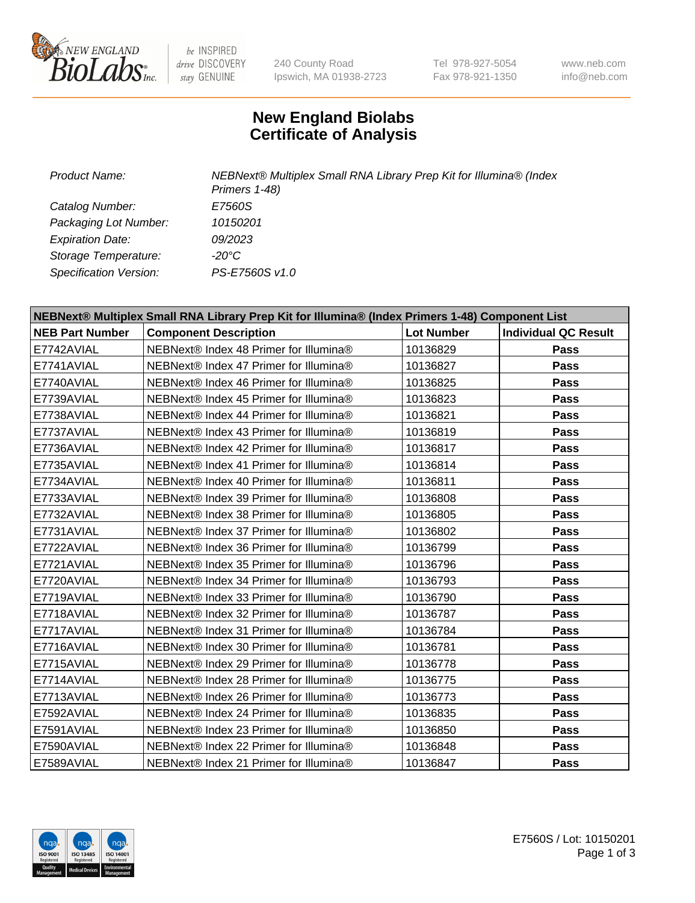

be INSPIRED drive DISCOVERY stay GENUINE

240 County Road Ipswich, MA 01938-2723 Tel 978-927-5054 Fax 978-921-1350

www.neb.com info@neb.com

## **New England Biolabs Certificate of Analysis**

*Product Name: NEBNext® Multiplex Small RNA Library Prep Kit for Illumina® (Index Primers 1-48) Catalog Number: E7560S Packaging Lot Number: 10150201 Expiration Date: 09/2023 Storage Temperature: -20°C Specification Version: PS-E7560S v1.0*

| NEBNext® Multiplex Small RNA Library Prep Kit for Illumina® (Index Primers 1-48) Component List |                                        |                   |                             |  |
|-------------------------------------------------------------------------------------------------|----------------------------------------|-------------------|-----------------------------|--|
| <b>NEB Part Number</b>                                                                          | <b>Component Description</b>           | <b>Lot Number</b> | <b>Individual QC Result</b> |  |
| E7742AVIAL                                                                                      | NEBNext® Index 48 Primer for Illumina® | 10136829          | Pass                        |  |
| E7741AVIAL                                                                                      | NEBNext® Index 47 Primer for Illumina® | 10136827          | Pass                        |  |
| E7740AVIAL                                                                                      | NEBNext® Index 46 Primer for Illumina® | 10136825          | <b>Pass</b>                 |  |
| E7739AVIAL                                                                                      | NEBNext® Index 45 Primer for Illumina® | 10136823          | <b>Pass</b>                 |  |
| E7738AVIAL                                                                                      | NEBNext® Index 44 Primer for Illumina® | 10136821          | <b>Pass</b>                 |  |
| E7737AVIAL                                                                                      | NEBNext® Index 43 Primer for Illumina® | 10136819          | Pass                        |  |
| E7736AVIAL                                                                                      | NEBNext® Index 42 Primer for Illumina® | 10136817          | <b>Pass</b>                 |  |
| E7735AVIAL                                                                                      | NEBNext® Index 41 Primer for Illumina® | 10136814          | Pass                        |  |
| E7734AVIAL                                                                                      | NEBNext® Index 40 Primer for Illumina® | 10136811          | <b>Pass</b>                 |  |
| E7733AVIAL                                                                                      | NEBNext® Index 39 Primer for Illumina® | 10136808          | <b>Pass</b>                 |  |
| E7732AVIAL                                                                                      | NEBNext® Index 38 Primer for Illumina® | 10136805          | Pass                        |  |
| E7731AVIAL                                                                                      | NEBNext® Index 37 Primer for Illumina® | 10136802          | Pass                        |  |
| E7722AVIAL                                                                                      | NEBNext® Index 36 Primer for Illumina® | 10136799          | <b>Pass</b>                 |  |
| E7721AVIAL                                                                                      | NEBNext® Index 35 Primer for Illumina® | 10136796          | <b>Pass</b>                 |  |
| E7720AVIAL                                                                                      | NEBNext® Index 34 Primer for Illumina® | 10136793          | Pass                        |  |
| E7719AVIAL                                                                                      | NEBNext® Index 33 Primer for Illumina® | 10136790          | <b>Pass</b>                 |  |
| E7718AVIAL                                                                                      | NEBNext® Index 32 Primer for Illumina® | 10136787          | <b>Pass</b>                 |  |
| E7717AVIAL                                                                                      | NEBNext® Index 31 Primer for Illumina® | 10136784          | Pass                        |  |
| E7716AVIAL                                                                                      | NEBNext® Index 30 Primer for Illumina® | 10136781          | <b>Pass</b>                 |  |
| E7715AVIAL                                                                                      | NEBNext® Index 29 Primer for Illumina® | 10136778          | <b>Pass</b>                 |  |
| E7714AVIAL                                                                                      | NEBNext® Index 28 Primer for Illumina® | 10136775          | Pass                        |  |
| E7713AVIAL                                                                                      | NEBNext® Index 26 Primer for Illumina® | 10136773          | Pass                        |  |
| E7592AVIAL                                                                                      | NEBNext® Index 24 Primer for Illumina® | 10136835          | <b>Pass</b>                 |  |
| E7591AVIAL                                                                                      | NEBNext® Index 23 Primer for Illumina® | 10136850          | Pass                        |  |
| E7590AVIAL                                                                                      | NEBNext® Index 22 Primer for Illumina® | 10136848          | <b>Pass</b>                 |  |
| E7589AVIAL                                                                                      | NEBNext® Index 21 Primer for Illumina® | 10136847          | <b>Pass</b>                 |  |

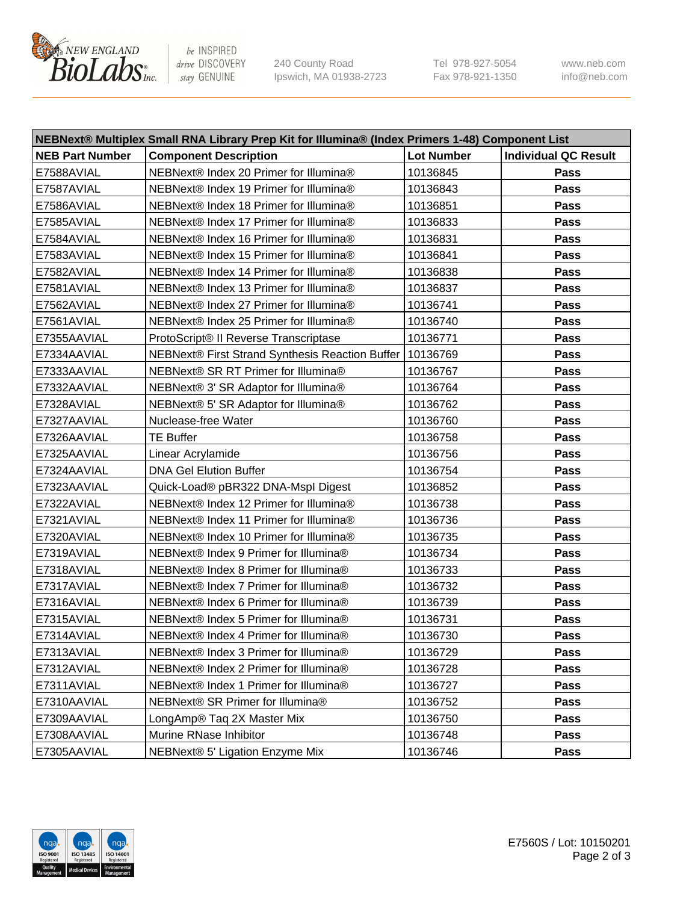

be INSPIRED drive DISCOVERY stay GENUINE

240 County Road Ipswich, MA 01938-2723 Tel 978-927-5054 Fax 978-921-1350 www.neb.com info@neb.com

| NEBNext® Multiplex Small RNA Library Prep Kit for Illumina® (Index Primers 1-48) Component List |                                                            |                   |                             |  |
|-------------------------------------------------------------------------------------------------|------------------------------------------------------------|-------------------|-----------------------------|--|
| <b>NEB Part Number</b>                                                                          | <b>Component Description</b>                               | <b>Lot Number</b> | <b>Individual QC Result</b> |  |
| E7588AVIAL                                                                                      | NEBNext® Index 20 Primer for Illumina®                     | 10136845          | Pass                        |  |
| E7587AVIAL                                                                                      | NEBNext® Index 19 Primer for Illumina®                     | 10136843          | Pass                        |  |
| E7586AVIAL                                                                                      | NEBNext® Index 18 Primer for Illumina®                     | 10136851          | Pass                        |  |
| E7585AVIAL                                                                                      | NEBNext® Index 17 Primer for Illumina®                     | 10136833          | Pass                        |  |
| E7584AVIAL                                                                                      | NEBNext® Index 16 Primer for Illumina®                     | 10136831          | Pass                        |  |
| E7583AVIAL                                                                                      | NEBNext® Index 15 Primer for Illumina®                     | 10136841          | Pass                        |  |
| E7582AVIAL                                                                                      | NEBNext® Index 14 Primer for Illumina®                     | 10136838          | Pass                        |  |
| E7581AVIAL                                                                                      | NEBNext® Index 13 Primer for Illumina®                     | 10136837          | Pass                        |  |
| E7562AVIAL                                                                                      | NEBNext® Index 27 Primer for Illumina®                     | 10136741          | Pass                        |  |
| E7561AVIAL                                                                                      | NEBNext® Index 25 Primer for Illumina®                     | 10136740          | Pass                        |  |
| E7355AAVIAL                                                                                     | ProtoScript® II Reverse Transcriptase                      | 10136771          | Pass                        |  |
| E7334AAVIAL                                                                                     | NEBNext® First Strand Synthesis Reaction Buffer   10136769 |                   | Pass                        |  |
| E7333AAVIAL                                                                                     | NEBNext® SR RT Primer for Illumina®                        | 10136767          | Pass                        |  |
| E7332AAVIAL                                                                                     | NEBNext® 3' SR Adaptor for Illumina®                       | 10136764          | Pass                        |  |
| E7328AVIAL                                                                                      | NEBNext® 5' SR Adaptor for Illumina®                       | 10136762          | Pass                        |  |
| E7327AAVIAL                                                                                     | Nuclease-free Water                                        | 10136760          | Pass                        |  |
| E7326AAVIAL                                                                                     | <b>TE Buffer</b>                                           | 10136758          | Pass                        |  |
| E7325AAVIAL                                                                                     | Linear Acrylamide                                          | 10136756          | Pass                        |  |
| E7324AAVIAL                                                                                     | <b>DNA Gel Elution Buffer</b>                              | 10136754          | Pass                        |  |
| E7323AAVIAL                                                                                     | Quick-Load® pBR322 DNA-Mspl Digest                         | 10136852          | Pass                        |  |
| E7322AVIAL                                                                                      | NEBNext® Index 12 Primer for Illumina®                     | 10136738          | Pass                        |  |
| E7321AVIAL                                                                                      | NEBNext® Index 11 Primer for Illumina®                     | 10136736          | Pass                        |  |
| E7320AVIAL                                                                                      | NEBNext® Index 10 Primer for Illumina®                     | 10136735          | Pass                        |  |
| E7319AVIAL                                                                                      | NEBNext® Index 9 Primer for Illumina®                      | 10136734          | Pass                        |  |
| E7318AVIAL                                                                                      | NEBNext® Index 8 Primer for Illumina®                      | 10136733          | Pass                        |  |
| E7317AVIAL                                                                                      | NEBNext® Index 7 Primer for Illumina®                      | 10136732          | Pass                        |  |
| E7316AVIAL                                                                                      | NEBNext® Index 6 Primer for Illumina®                      | 10136739          | Pass                        |  |
| E7315AVIAL                                                                                      | NEBNext® Index 5 Primer for Illumina®                      | 10136731          | Pass                        |  |
| E7314AVIAL                                                                                      | NEBNext® Index 4 Primer for Illumina®                      | 10136730          | Pass                        |  |
| E7313AVIAL                                                                                      | NEBNext® Index 3 Primer for Illumina®                      | 10136729          | Pass                        |  |
| E7312AVIAL                                                                                      | NEBNext® Index 2 Primer for Illumina®                      | 10136728          | <b>Pass</b>                 |  |
| E7311AVIAL                                                                                      | NEBNext® Index 1 Primer for Illumina®                      | 10136727          | Pass                        |  |
| E7310AAVIAL                                                                                     | NEBNext® SR Primer for Illumina®                           | 10136752          | Pass                        |  |
| E7309AAVIAL                                                                                     | LongAmp® Taq 2X Master Mix                                 | 10136750          | Pass                        |  |
| E7308AAVIAL                                                                                     | Murine RNase Inhibitor                                     | 10136748          | Pass                        |  |
| E7305AAVIAL                                                                                     | NEBNext® 5' Ligation Enzyme Mix                            | 10136746          | Pass                        |  |